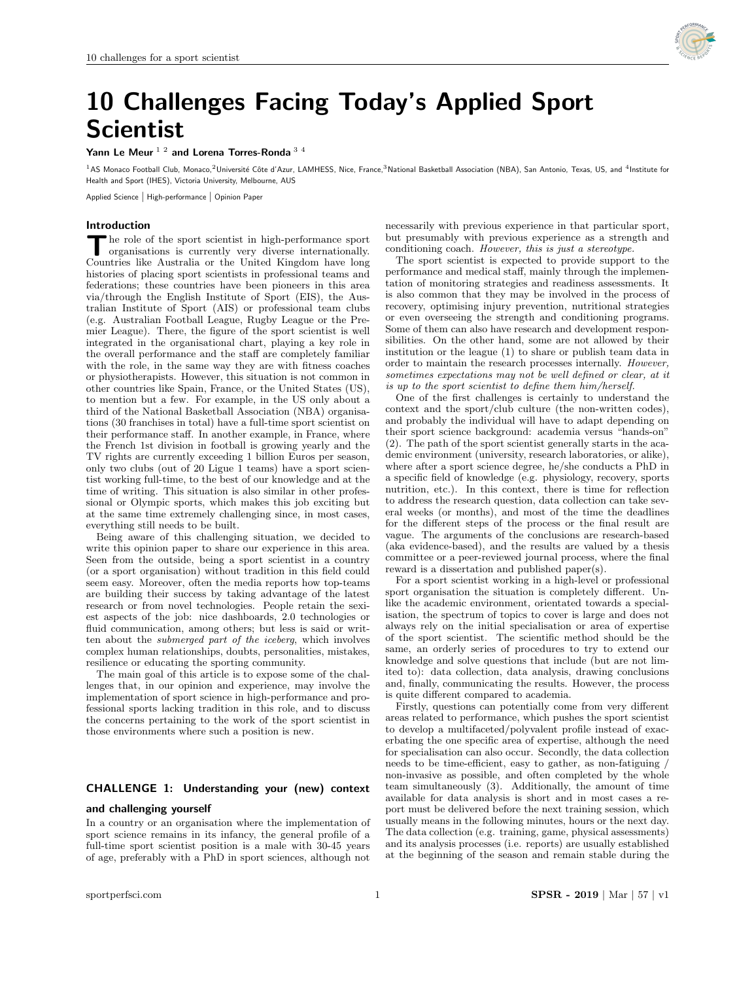

# 10 Challenges Facing Today's Applied Sport Scientist

Yann Le Meur<sup>12</sup> and Lorena Torres-Ronda<sup>34</sup>

<sup>1</sup>AS Monaco Football Club, Monaco,<sup>2</sup>Université Côte d'Azur, LAMHESS, Nice, France,<sup>3</sup>National Basketball Association (NBA), San Antonio, Texas, US, and <sup>4</sup>Institute for Health and Sport (IHES), Victoria University, Melbourne, AUS

Applied Science | High-performance | Opinion Paper

#### Introduction

The role of the sport scientist in high-performance sport organisations is currently very diverse internationally. Countries like Australia or the United Kingdom have long he role of the sport scientist in high-performance sport organisations is currently very diverse internationally. histories of placing sport scientists in professional teams and federations; these countries have been pioneers in this area via/through the English Institute of Sport (EIS), the Australian Institute of Sport (AIS) or professional team clubs (e.g. Australian Football League, Rugby League or the Premier League). There, the figure of the sport scientist is well integrated in the organisational chart, playing a key role in the overall performance and the staff are completely familiar with the role, in the same way they are with fitness coaches or physiotherapists. However, this situation is not common in other countries like Spain, France, or the United States (US), to mention but a few. For example, in the US only about a third of the National Basketball Association (NBA) organisations (30 franchises in total) have a full-time sport scientist on their performance staff. In another example, in France, where the French 1st division in football is growing yearly and the TV rights are currently exceeding 1 billion Euros per season, only two clubs (out of 20 Ligue 1 teams) have a sport scientist working full-time, to the best of our knowledge and at the time of writing. This situation is also similar in other professional or Olympic sports, which makes this job exciting but at the same time extremely challenging since, in most cases, everything still needs to be built.

Being aware of this challenging situation, we decided to write this opinion paper to share our experience in this area. Seen from the outside, being a sport scientist in a country (or a sport organisation) without tradition in this field could seem easy. Moreover, often the media reports how top-teams are building their success by taking advantage of the latest research or from novel technologies. People retain the sexiest aspects of the job: nice dashboards, 2.0 technologies or fluid communication, among others; but less is said or written about the submerged part of the iceberg, which involves complex human relationships, doubts, personalities, mistakes, resilience or educating the sporting community.

The main goal of this article is to expose some of the challenges that, in our opinion and experience, may involve the implementation of sport science in high-performance and professional sports lacking tradition in this role, and to discuss the concerns pertaining to the work of the sport scientist in those environments where such a position is new.

# CHALLENGE 1: Understanding your (new) context

#### and challenging yourself

In a country or an organisation where the implementation of sport science remains in its infancy, the general profile of a full-time sport scientist position is a male with 30-45 years of age, preferably with a PhD in sport sciences, although not

necessarily with previous experience in that particular sport, but presumably with previous experience as a strength and conditioning coach. However, this is just a stereotype.

The sport scientist is expected to provide support to the performance and medical staff, mainly through the implementation of monitoring strategies and readiness assessments. It is also common that they may be involved in the process of recovery, optimising injury prevention, nutritional strategies or even overseeing the strength and conditioning programs. Some of them can also have research and development responsibilities. On the other hand, some are not allowed by their institution or the league (1) to share or publish team data in order to maintain the research processes internally. However, sometimes expectations may not be well defined or clear, at it is up to the sport scientist to define them him/herself.

One of the first challenges is certainly to understand the context and the sport/club culture (the non-written codes), and probably the individual will have to adapt depending on their sport science background: academia versus "hands-on" (2). The path of the sport scientist generally starts in the academic environment (university, research laboratories, or alike), where after a sport science degree, he/she conducts a PhD in a specific field of knowledge (e.g. physiology, recovery, sports nutrition, etc.). In this context, there is time for reflection to address the research question, data collection can take several weeks (or months), and most of the time the deadlines for the different steps of the process or the final result are vague. The arguments of the conclusions are research-based (aka evidence-based), and the results are valued by a thesis committee or a peer-reviewed journal process, where the final reward is a dissertation and published paper(s).

For a sport scientist working in a high-level or professional sport organisation the situation is completely different. Unlike the academic environment, orientated towards a specialisation, the spectrum of topics to cover is large and does not always rely on the initial specialisation or area of expertise of the sport scientist. The scientific method should be the same, an orderly series of procedures to try to extend our knowledge and solve questions that include (but are not limited to): data collection, data analysis, drawing conclusions and, finally, communicating the results. However, the process is quite different compared to academia.

Firstly, questions can potentially come from very different areas related to performance, which pushes the sport scientist to develop a multifaceted/polyvalent profile instead of exacerbating the one specific area of expertise, although the need for specialisation can also occur. Secondly, the data collection needs to be time-efficient, easy to gather, as non-fatiguing / non-invasive as possible, and often completed by the whole team simultaneously (3). Additionally, the amount of time available for data analysis is short and in most cases a report must be delivered before the next training session, which usually means in the following minutes, hours or the next day. The data collection (e.g. training, game, physical assessments) and its analysis processes (i.e. reports) are usually established at the beginning of the season and remain stable during the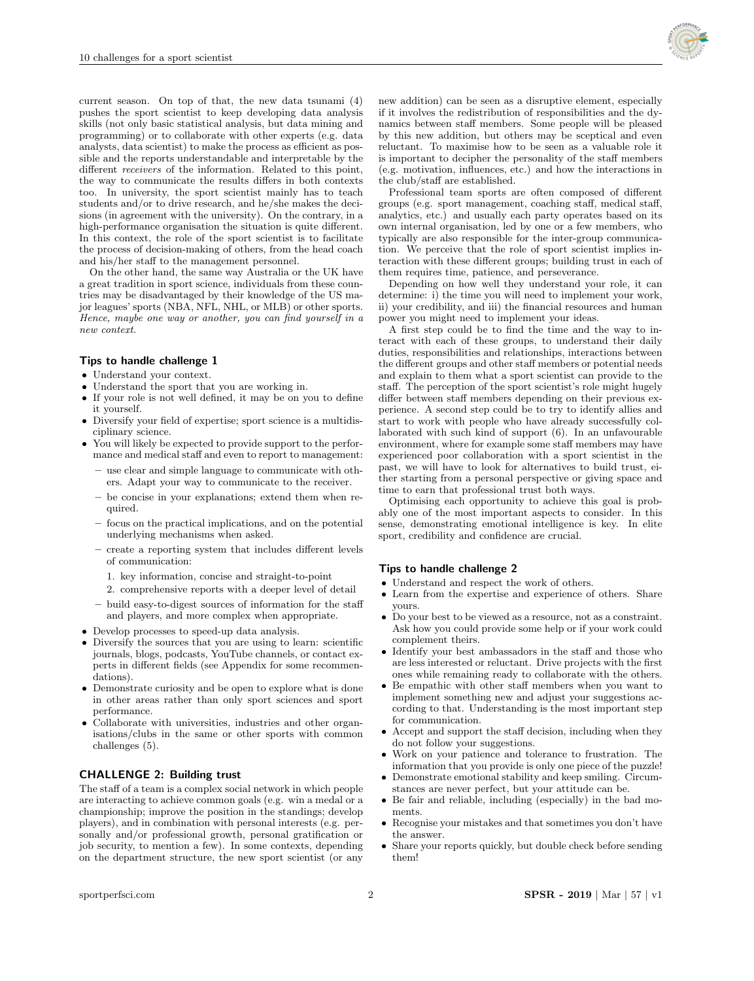

current season. On top of that, the new data tsunami (4) pushes the sport scientist to keep developing data analysis skills (not only basic statistical analysis, but data mining and programming) or to collaborate with other experts (e.g. data analysts, data scientist) to make the process as efficient as possible and the reports understandable and interpretable by the different receivers of the information. Related to this point, the way to communicate the results differs in both contexts too. In university, the sport scientist mainly has to teach students and/or to drive research, and he/she makes the decisions (in agreement with the university). On the contrary, in a high-performance organisation the situation is quite different. In this context, the role of the sport scientist is to facilitate the process of decision-making of others, from the head coach and his/her staff to the management personnel.

On the other hand, the same way Australia or the UK have a great tradition in sport science, individuals from these countries may be disadvantaged by their knowledge of the US major leagues' sports (NBA, NFL, NHL, or MLB) or other sports. Hence, maybe one way or another, you can find yourself in a new context.

#### Tips to handle challenge 1

- Understand your context.
- Understand the sport that you are working in.
- If your role is not well defined, it may be on you to define it yourself.
- Diversify your field of expertise; sport science is a multidisciplinary science.
- You will likely be expected to provide support to the performance and medical staff and even to report to management:
	- use clear and simple language to communicate with others. Adapt your way to communicate to the receiver.
	- be concise in your explanations; extend them when required.
	- focus on the practical implications, and on the potential underlying mechanisms when asked.
	- create a reporting system that includes different levels of communication:
		- 1. key information, concise and straight-to-point
	- 2. comprehensive reports with a deeper level of detail
	- build easy-to-digest sources of information for the staff and players, and more complex when appropriate.
- Develop processes to speed-up data analysis.
- Diversify the sources that you are using to learn: scientific journals, blogs, podcasts, YouTube channels, or contact experts in different fields (see Appendix for some recommendations).
- **Demonstrate curiosity and be open to explore what is done** in other areas rather than only sport sciences and sport performance.
- Collaborate with universities, industries and other organisations/clubs in the same or other sports with common challenges (5).

# CHALLENGE 2: Building trust

The staff of a team is a complex social network in which people are interacting to achieve common goals (e.g. win a medal or a championship; improve the position in the standings; develop players), and in combination with personal interests (e.g. personally and/or professional growth, personal gratification or job security, to mention a few). In some contexts, depending on the department structure, the new sport scientist (or any new addition) can be seen as a disruptive element, especially if it involves the redistribution of responsibilities and the dynamics between staff members. Some people will be pleased by this new addition, but others may be sceptical and even reluctant. To maximise how to be seen as a valuable role it is important to decipher the personality of the staff members (e.g. motivation, influences, etc.) and how the interactions in the club/staff are established.

Professional team sports are often composed of different groups (e.g. sport management, coaching staff, medical staff, analytics, etc.) and usually each party operates based on its own internal organisation, led by one or a few members, who typically are also responsible for the inter-group communication. We perceive that the role of sport scientist implies interaction with these different groups; building trust in each of them requires time, patience, and perseverance.

Depending on how well they understand your role, it can determine: i) the time you will need to implement your work, ii) your credibility, and iii) the financial resources and human power you might need to implement your ideas.

A first step could be to find the time and the way to interact with each of these groups, to understand their daily duties, responsibilities and relationships, interactions between the different groups and other staff members or potential needs and explain to them what a sport scientist can provide to the staff. The perception of the sport scientist's role might hugely differ between staff members depending on their previous experience. A second step could be to try to identify allies and start to work with people who have already successfully collaborated with such kind of support (6). In an unfavourable environment, where for example some staff members may have experienced poor collaboration with a sport scientist in the past, we will have to look for alternatives to build trust, either starting from a personal perspective or giving space and time to earn that professional trust both ways.

Optimising each opportunity to achieve this goal is probably one of the most important aspects to consider. In this sense, demonstrating emotional intelligence is key. In elite sport, credibility and confidence are crucial.

#### Tips to handle challenge 2

- Understand and respect the work of others.
- Learn from the expertise and experience of others. Share yours.
- Do your best to be viewed as a resource, not as a constraint. Ask how you could provide some help or if your work could complement theirs.
- Identify your best ambassadors in the staff and those who are less interested or reluctant. Drive projects with the first ones while remaining ready to collaborate with the others.
- Be empathic with other staff members when you want to implement something new and adjust your suggestions according to that. Understanding is the most important step for communication.
- Accept and support the staff decision, including when they do not follow your suggestions.
- Work on your patience and tolerance to frustration. The information that you provide is only one piece of the puzzle!
- Demonstrate emotional stability and keep smiling. Circumstances are never perfect, but your attitude can be.
- Be fair and reliable, including (especially) in the bad moments.
- Recognise your mistakes and that sometimes you don't have the answer.
- Share your reports quickly, but double check before sending them!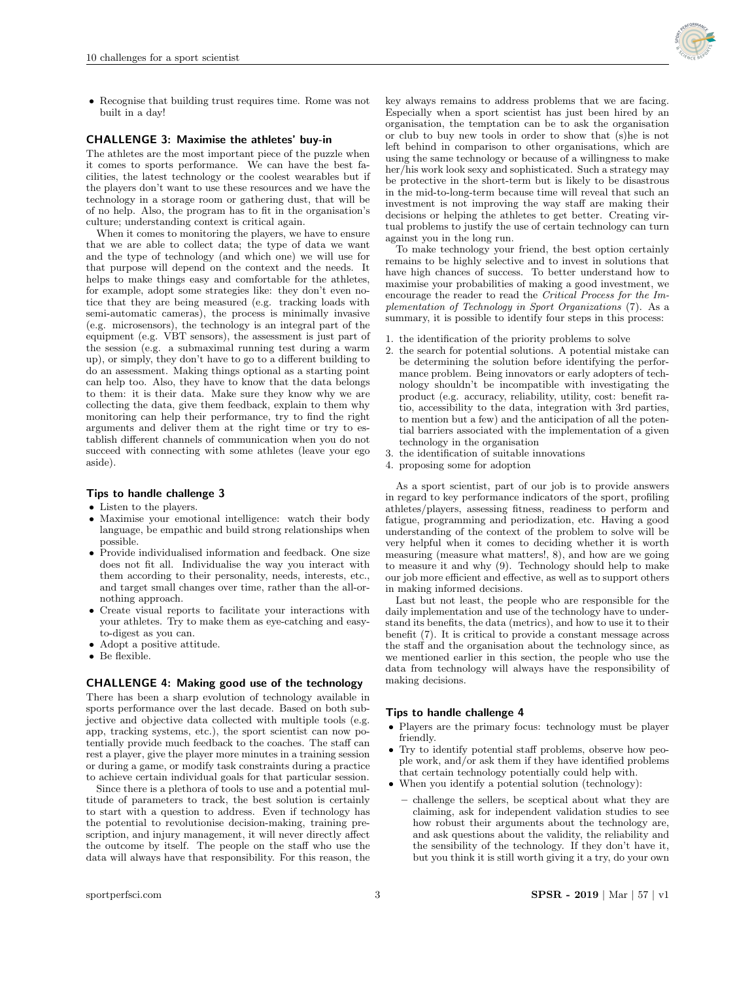Recognise that building trust requires time. Rome was not built in a day!

# CHALLENGE 3: Maximise the athletes' buy-in

The athletes are the most important piece of the puzzle when it comes to sports performance. We can have the best facilities, the latest technology or the coolest wearables but if the players don't want to use these resources and we have the technology in a storage room or gathering dust, that will be of no help. Also, the program has to fit in the organisation's culture; understanding context is critical again.

When it comes to monitoring the players, we have to ensure that we are able to collect data; the type of data we want and the type of technology (and which one) we will use for that purpose will depend on the context and the needs. It helps to make things easy and comfortable for the athletes, for example, adopt some strategies like: they don't even notice that they are being measured (e.g. tracking loads with semi-automatic cameras), the process is minimally invasive (e.g. microsensors), the technology is an integral part of the equipment (e.g. VBT sensors), the assessment is just part of the session (e.g. a submaximal running test during a warm up), or simply, they don't have to go to a different building to do an assessment. Making things optional as a starting point can help too. Also, they have to know that the data belongs to them: it is their data. Make sure they know why we are collecting the data, give them feedback, explain to them why monitoring can help their performance, try to find the right arguments and deliver them at the right time or try to establish different channels of communication when you do not succeed with connecting with some athletes (leave your ego aside).

# Tips to handle challenge 3

- Listen to the players.
- Maximise your emotional intelligence: watch their body language, be empathic and build strong relationships when possible.
- Provide individualised information and feedback. One size does not fit all. Individualise the way you interact with them according to their personality, needs, interests, etc., and target small changes over time, rather than the all-ornothing approach.
- Create visual reports to facilitate your interactions with your athletes. Try to make them as eye-catching and easyto-digest as you can.
- Adopt a positive attitude.
- **Be flexible.**

# CHALLENGE 4: Making good use of the technology

There has been a sharp evolution of technology available in sports performance over the last decade. Based on both subjective and objective data collected with multiple tools (e.g. app, tracking systems, etc.), the sport scientist can now potentially provide much feedback to the coaches. The staff can rest a player, give the player more minutes in a training session or during a game, or modify task constraints during a practice to achieve certain individual goals for that particular session.

Since there is a plethora of tools to use and a potential multitude of parameters to track, the best solution is certainly to start with a question to address. Even if technology has the potential to revolutionise decision-making, training prescription, and injury management, it will never directly affect the outcome by itself. The people on the staff who use the data will always have that responsibility. For this reason, the key always remains to address problems that we are facing. Especially when a sport scientist has just been hired by an organisation, the temptation can be to ask the organisation or club to buy new tools in order to show that (s)he is not left behind in comparison to other organisations, which are using the same technology or because of a willingness to make her/his work look sexy and sophisticated. Such a strategy may be protective in the short-term but is likely to be disastrous in the mid-to-long-term because time will reveal that such an investment is not improving the way staff are making their decisions or helping the athletes to get better. Creating virtual problems to justify the use of certain technology can turn against you in the long run.

To make technology your friend, the best option certainly remains to be highly selective and to invest in solutions that have high chances of success. To better understand how to maximise your probabilities of making a good investment, we encourage the reader to read the Critical Process for the Implementation of Technology in Sport Organizations (7). As a summary, it is possible to identify four steps in this process:

- 1. the identification of the priority problems to solve
- 2. the search for potential solutions. A potential mistake can be determining the solution before identifying the performance problem. Being innovators or early adopters of technology shouldn't be incompatible with investigating the product (e.g. accuracy, reliability, utility, cost: benefit ratio, accessibility to the data, integration with 3rd parties, to mention but a few) and the anticipation of all the potential barriers associated with the implementation of a given technology in the organisation
- 3. the identification of suitable innovations
- 4. proposing some for adoption

As a sport scientist, part of our job is to provide answers in regard to key performance indicators of the sport, profiling athletes/players, assessing fitness, readiness to perform and fatigue, programming and periodization, etc. Having a good understanding of the context of the problem to solve will be very helpful when it comes to deciding whether it is worth measuring (measure what matters!, 8), and how are we going to measure it and why (9). Technology should help to make our job more efficient and effective, as well as to support others in making informed decisions.

Last but not least, the people who are responsible for the daily implementation and use of the technology have to understand its benefits, the data (metrics), and how to use it to their benefit (7). It is critical to provide a constant message across the staff and the organisation about the technology since, as we mentioned earlier in this section, the people who use the data from technology will always have the responsibility of making decisions.

## Tips to handle challenge 4

- Players are the primary focus: technology must be player friendly.
- Try to identify potential staff problems, observe how people work, and/or ask them if they have identified problems that certain technology potentially could help with.
- When you identify a potential solution (technology):
	- challenge the sellers, be sceptical about what they are claiming, ask for independent validation studies to see how robust their arguments about the technology are, and ask questions about the validity, the reliability and the sensibility of the technology. If they don't have it, but you think it is still worth giving it a try, do your own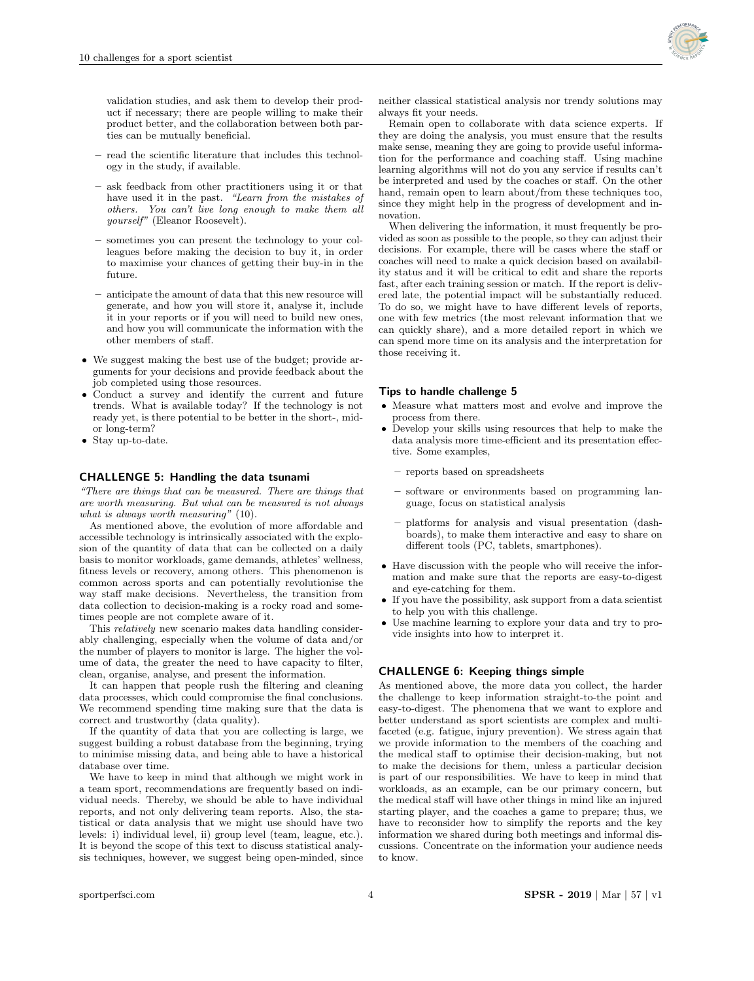validation studies, and ask them to develop their product if necessary; there are people willing to make their product better, and the collaboration between both parties can be mutually beneficial.

- read the scientific literature that includes this technology in the study, if available.
- ask feedback from other practitioners using it or that have used it in the past. "Learn from the mistakes of others. You can't live long enough to make them all yourself" (Eleanor Roosevelt).
- sometimes you can present the technology to your colleagues before making the decision to buy it, in order to maximise your chances of getting their buy-in in the future.
- anticipate the amount of data that this new resource will generate, and how you will store it, analyse it, include it in your reports or if you will need to build new ones, and how you will communicate the information with the other members of staff.
- We suggest making the best use of the budget; provide arguments for your decisions and provide feedback about the job completed using those resources.
- Conduct a survey and identify the current and future trends. What is available today? If the technology is not ready yet, is there potential to be better in the short-, midor long-term?
- Stay up-to-date.

#### CHALLENGE 5: Handling the data tsunami

"There are things that can be measured. There are things that are worth measuring. But what can be measured is not always what is always worth measuring" (10).

As mentioned above, the evolution of more affordable and accessible technology is intrinsically associated with the explosion of the quantity of data that can be collected on a daily basis to monitor workloads, game demands, athletes' wellness, fitness levels or recovery, among others. This phenomenon is common across sports and can potentially revolutionise the way staff make decisions. Nevertheless, the transition from data collection to decision-making is a rocky road and sometimes people are not complete aware of it.

This relatively new scenario makes data handling considerably challenging, especially when the volume of data and/or the number of players to monitor is large. The higher the volume of data, the greater the need to have capacity to filter, clean, organise, analyse, and present the information.

It can happen that people rush the filtering and cleaning data processes, which could compromise the final conclusions. We recommend spending time making sure that the data is correct and trustworthy (data quality).

If the quantity of data that you are collecting is large, we suggest building a robust database from the beginning, trying to minimise missing data, and being able to have a historical database over time.

We have to keep in mind that although we might work in a team sport, recommendations are frequently based on individual needs. Thereby, we should be able to have individual reports, and not only delivering team reports. Also, the statistical or data analysis that we might use should have two levels: i) individual level, ii) group level (team, league, etc.). It is beyond the scope of this text to discuss statistical analysis techniques, however, we suggest being open-minded, since

neither classical statistical analysis nor trendy solutions may always fit your needs.

Remain open to collaborate with data science experts. If they are doing the analysis, you must ensure that the results make sense, meaning they are going to provide useful information for the performance and coaching staff. Using machine learning algorithms will not do you any service if results can't be interpreted and used by the coaches or staff. On the other hand, remain open to learn about/from these techniques too, since they might help in the progress of development and innovation.

When delivering the information, it must frequently be provided as soon as possible to the people, so they can adjust their decisions. For example, there will be cases where the staff or coaches will need to make a quick decision based on availability status and it will be critical to edit and share the reports fast, after each training session or match. If the report is delivered late, the potential impact will be substantially reduced. To do so, we might have to have different levels of reports, one with few metrics (the most relevant information that we can quickly share), and a more detailed report in which we can spend more time on its analysis and the interpretation for those receiving it.

#### Tips to handle challenge 5

- Measure what matters most and evolve and improve the process from there.
- $\bullet$  Develop your skills using resources that help to make the data analysis more time-efficient and its presentation effective. Some examples,
	- reports based on spreadsheets
	- software or environments based on programming language, focus on statistical analysis
	- platforms for analysis and visual presentation (dashboards), to make them interactive and easy to share on different tools (PC, tablets, smartphones).
- Have discussion with the people who will receive the information and make sure that the reports are easy-to-digest and eye-catching for them.
- If you have the possibility, ask support from a data scientist to help you with this challenge.
- Use machine learning to explore your data and try to provide insights into how to interpret it.

#### CHALLENGE 6: Keeping things simple

As mentioned above, the more data you collect, the harder the challenge to keep information straight-to-the point and easy-to-digest. The phenomena that we want to explore and better understand as sport scientists are complex and multifaceted (e.g. fatigue, injury prevention). We stress again that we provide information to the members of the coaching and the medical staff to optimise their decision-making, but not to make the decisions for them, unless a particular decision is part of our responsibilities. We have to keep in mind that workloads, as an example, can be our primary concern, but the medical staff will have other things in mind like an injured starting player, and the coaches a game to prepare; thus, we have to reconsider how to simplify the reports and the key information we shared during both meetings and informal discussions. Concentrate on the information your audience needs to know.

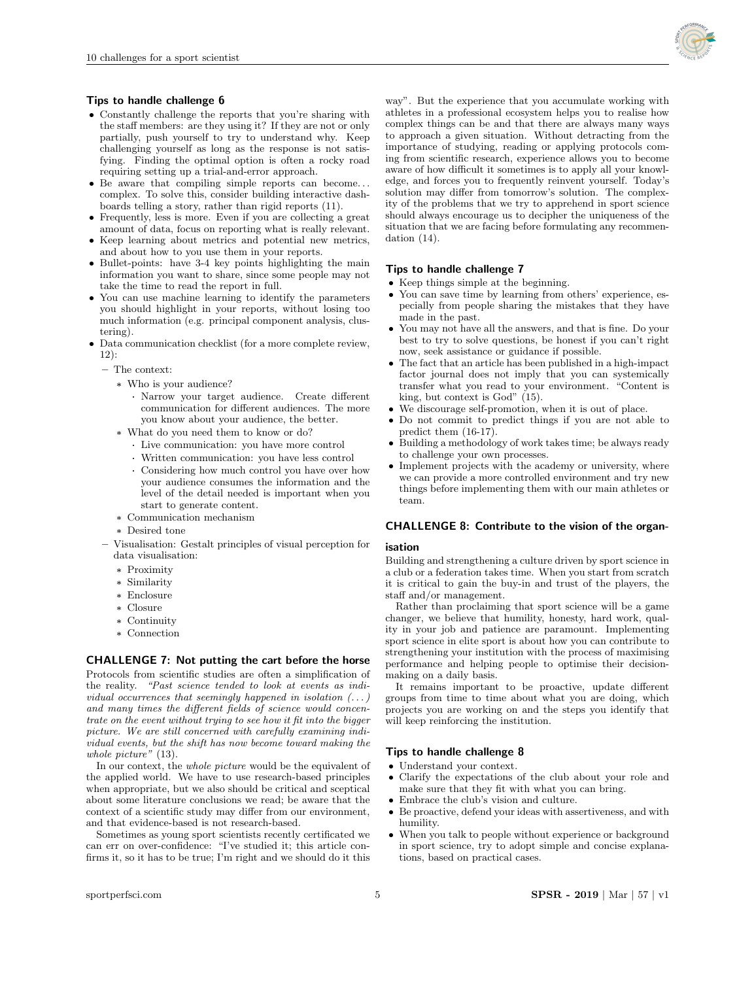

## Tips to handle challenge 6

- Constantly challenge the reports that you're sharing with the staff members: are they using it? If they are not or only partially, push yourself to try to understand why. Keep challenging yourself as long as the response is not satisfying. Finding the optimal option is often a rocky road requiring setting up a trial-and-error approach.
- Be aware that compiling simple reports can become. . . complex. To solve this, consider building interactive dashboards telling a story, rather than rigid reports (11).
- Frequently, less is more. Even if you are collecting a great amount of data, focus on reporting what is really relevant.
- Keep learning about metrics and potential new metrics, and about how to you use them in your reports.
- Bullet-points: have 3-4 key points highlighting the main information you want to share, since some people may not take the time to read the report in full.
- You can use machine learning to identify the parameters you should highlight in your reports, without losing too much information (e.g. principal component analysis, clustering).
- Data communication checklist (for a more complete review, 12):
	- The context:
		- \* Who is your audience?
			- · Narrow your target audience. Create different communication for different audiences. The more you know about your audience, the better.
		- \* What do you need them to know or do?
			- · Live communication: you have more control
			- · Written communication: you have less control
			- · Considering how much control you have over how your audience consumes the information and the level of the detail needed is important when you start to generate content.
		- \* Communication mechanism
		- \* Desired tone
	- Visualisation: Gestalt principles of visual perception for data visualisation:
		- \* Proximity
		- \* Similarity
		- \* Enclosure
		- \* Closure
		- \* Continuity
		- \* Connection

## CHALLENGE 7: Not putting the cart before the horse

Protocols from scientific studies are often a simplification of the reality. "Past science tended to look at events as individual occurrences that seemingly happened in isolation  $(\dots)$ and many times the different fields of science would concentrate on the event without trying to see how it fit into the bigger picture. We are still concerned with carefully examining individual events, but the shift has now become toward making the whole picture" (13).

In our context, the whole picture would be the equivalent of the applied world. We have to use research-based principles when appropriate, but we also should be critical and sceptical about some literature conclusions we read; be aware that the context of a scientific study may differ from our environment, and that evidence-based is not research-based.

Sometimes as young sport scientists recently certificated we can err on over-confidence: "I've studied it; this article confirms it, so it has to be true; I'm right and we should do it this way". But the experience that you accumulate working with athletes in a professional ecosystem helps you to realise how complex things can be and that there are always many ways to approach a given situation. Without detracting from the importance of studying, reading or applying protocols coming from scientific research, experience allows you to become aware of how difficult it sometimes is to apply all your knowledge, and forces you to frequently reinvent yourself. Today's solution may differ from tomorrow's solution. The complexity of the problems that we try to apprehend in sport science should always encourage us to decipher the uniqueness of the situation that we are facing before formulating any recommendation (14).

# Tips to handle challenge 7

- Keep things simple at the beginning.
- You can save time by learning from others' experience, especially from people sharing the mistakes that they have made in the past.
- You may not have all the answers, and that is fine. Do your best to try to solve questions, be honest if you can't right now, seek assistance or guidance if possible.
- The fact that an article has been published in a high-impact factor journal does not imply that you can systemically transfer what you read to your environment. "Content is king, but context is God" (15).
- We discourage self-promotion, when it is out of place.
- Do not commit to predict things if you are not able to predict them (16-17).
- $\bullet$  Building a methodology of work takes time; be always ready to challenge your own processes.
- Implement projects with the academy or university, where we can provide a more controlled environment and try new things before implementing them with our main athletes or team.

#### CHALLENGE 8: Contribute to the vision of the organ-

#### isation

Building and strengthening a culture driven by sport science in a club or a federation takes time. When you start from scratch it is critical to gain the buy-in and trust of the players, the staff and/or management.

Rather than proclaiming that sport science will be a game changer, we believe that humility, honesty, hard work, quality in your job and patience are paramount. Implementing sport science in elite sport is about how you can contribute to strengthening your institution with the process of maximising performance and helping people to optimise their decisionmaking on a daily basis.

It remains important to be proactive, update different groups from time to time about what you are doing, which projects you are working on and the steps you identify that will keep reinforcing the institution.

#### Tips to handle challenge 8

- Understand your context.
- Clarify the expectations of the club about your role and make sure that they fit with what you can bring.
- Embrace the club's vision and culture.
- Be proactive, defend your ideas with assertiveness, and with humility.
- When you talk to people without experience or background in sport science, try to adopt simple and concise explanations, based on practical cases.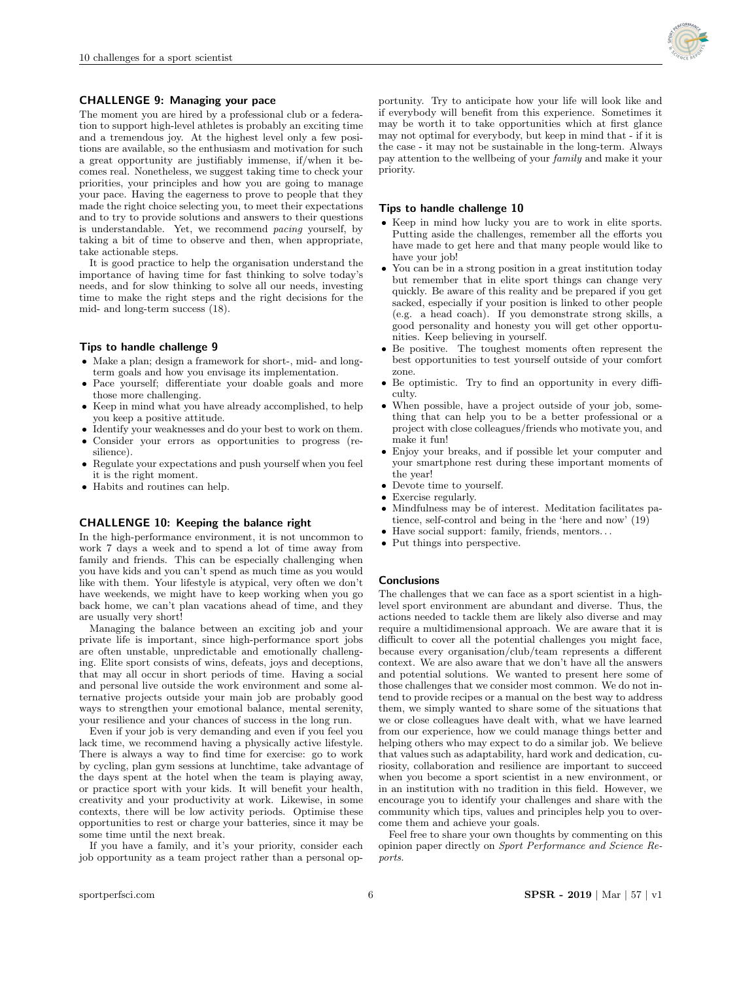

# CHALLENGE 9: Managing your pace

The moment you are hired by a professional club or a federation to support high-level athletes is probably an exciting time and a tremendous joy. At the highest level only a few positions are available, so the enthusiasm and motivation for such a great opportunity are justifiably immense, if/when it becomes real. Nonetheless, we suggest taking time to check your priorities, your principles and how you are going to manage your pace. Having the eagerness to prove to people that they made the right choice selecting you, to meet their expectations and to try to provide solutions and answers to their questions is understandable. Yet, we recommend pacing yourself, by taking a bit of time to observe and then, when appropriate, take actionable steps.

It is good practice to help the organisation understand the importance of having time for fast thinking to solve today's needs, and for slow thinking to solve all our needs, investing time to make the right steps and the right decisions for the mid- and long-term success (18).

## Tips to handle challenge 9

- Make a plan; design a framework for short-, mid- and longterm goals and how you envisage its implementation.
- Pace yourself; differentiate your doable goals and more those more challenging.
- Keep in mind what you have already accomplished, to help you keep a positive attitude.
- Identify your weaknesses and do your best to work on them.
- Consider your errors as opportunities to progress (resilience).
- $\bullet$  Regulate your expectations and push yourself when you feel it is the right moment.
- Habits and routines can help.

# CHALLENGE 10: Keeping the balance right

In the high-performance environment, it is not uncommon to work 7 days a week and to spend a lot of time away from family and friends. This can be especially challenging when you have kids and you can't spend as much time as you would like with them. Your lifestyle is atypical, very often we don't have weekends, we might have to keep working when you go back home, we can't plan vacations ahead of time, and they are usually very short!

Managing the balance between an exciting job and your private life is important, since high-performance sport jobs are often unstable, unpredictable and emotionally challenging. Elite sport consists of wins, defeats, joys and deceptions, that may all occur in short periods of time. Having a social and personal live outside the work environment and some alternative projects outside your main job are probably good ways to strengthen your emotional balance, mental serenity, your resilience and your chances of success in the long run.

Even if your job is very demanding and even if you feel you lack time, we recommend having a physically active lifestyle. There is always a way to find time for exercise: go to work by cycling, plan gym sessions at lunchtime, take advantage of the days spent at the hotel when the team is playing away, or practice sport with your kids. It will benefit your health, creativity and your productivity at work. Likewise, in some contexts, there will be low activity periods. Optimise these opportunities to rest or charge your batteries, since it may be some time until the next break.

If you have a family, and it's your priority, consider each job opportunity as a team project rather than a personal opportunity. Try to anticipate how your life will look like and if everybody will benefit from this experience. Sometimes it may be worth it to take opportunities which at first glance may not optimal for everybody, but keep in mind that - if it is the case - it may not be sustainable in the long-term. Always pay attention to the wellbeing of your family and make it your priority.

## Tips to handle challenge 10

- Keep in mind how lucky you are to work in elite sports. Putting aside the challenges, remember all the efforts you have made to get here and that many people would like to have your job!
- You can be in a strong position in a great institution today but remember that in elite sport things can change very quickly. Be aware of this reality and be prepared if you get sacked, especially if your position is linked to other people (e.g. a head coach). If you demonstrate strong skills, a good personality and honesty you will get other opportunities. Keep believing in yourself.
- Be positive. The toughest moments often represent the best opportunities to test yourself outside of your comfort zone.
- Be optimistic. Try to find an opportunity in every difficulty.
- When possible, have a project outside of your job, something that can help you to be a better professional or a project with close colleagues/friends who motivate you, and make it fun!
- Enjoy your breaks, and if possible let your computer and your smartphone rest during these important moments of the year!
- Devote time to yourself.
- Exercise regularly.
- Mindfulness may be of interest. Meditation facilitates patience, self-control and being in the 'here and now' (19)
- $\bullet$  Have social support: family, friends, mentors...
- Put things into perspective.

# **Conclusions**

The challenges that we can face as a sport scientist in a highlevel sport environment are abundant and diverse. Thus, the actions needed to tackle them are likely also diverse and may require a multidimensional approach. We are aware that it is difficult to cover all the potential challenges you might face, because every organisation/club/team represents a different context. We are also aware that we don't have all the answers and potential solutions. We wanted to present here some of those challenges that we consider most common. We do not intend to provide recipes or a manual on the best way to address them, we simply wanted to share some of the situations that we or close colleagues have dealt with, what we have learned from our experience, how we could manage things better and helping others who may expect to do a similar job. We believe that values such as adaptability, hard work and dedication, curiosity, collaboration and resilience are important to succeed when you become a sport scientist in a new environment, or in an institution with no tradition in this field. However, we encourage you to identify your challenges and share with the community which tips, values and principles help you to overcome them and achieve your goals.

Feel free to share your own thoughts by commenting on this opinion paper directly on Sport Performance and Science Reports.